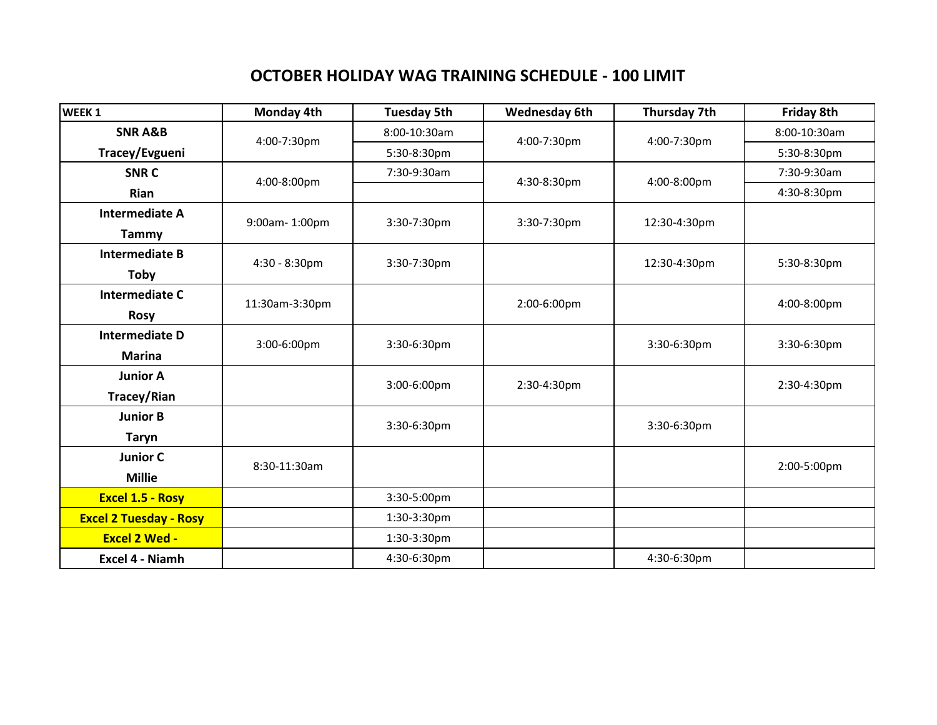## **OCTOBER HOLIDAY WAG TRAINING SCHEDULE - 100 LIMIT**

| WEEK <sub>1</sub>             | <b>Monday 4th</b> | <b>Tuesday 5th</b> | <b>Wednesday 6th</b> | Thursday 7th | <b>Friday 8th</b> |
|-------------------------------|-------------------|--------------------|----------------------|--------------|-------------------|
| <b>SNR A&amp;B</b>            | 4:00-7:30pm       | 8:00-10:30am       | 4:00-7:30pm          | 4:00-7:30pm  | 8:00-10:30am      |
| Tracey/Evgueni                |                   | 5:30-8:30pm        |                      |              | 5:30-8:30pm       |
| <b>SNRC</b>                   | 4:00-8:00pm       | 7:30-9:30am        | 4:30-8:30pm          | 4:00-8:00pm  | 7:30-9:30am       |
| <b>Rian</b>                   |                   |                    |                      |              | 4:30-8:30pm       |
| <b>Intermediate A</b>         | 9:00am-1:00pm     | 3:30-7:30pm        | 3:30-7:30pm          | 12:30-4:30pm |                   |
| <b>Tammy</b>                  |                   |                    |                      |              |                   |
| <b>Intermediate B</b>         | 4:30 - 8:30pm     | 3:30-7:30pm        |                      | 12:30-4:30pm | 5:30-8:30pm       |
| Toby                          |                   |                    |                      |              |                   |
| <b>Intermediate C</b>         | 11:30am-3:30pm    |                    | 2:00-6:00pm          |              | 4:00-8:00pm       |
| <b>Rosy</b>                   |                   |                    |                      |              |                   |
| <b>Intermediate D</b>         | 3:00-6:00pm       | 3:30-6:30pm        |                      | 3:30-6:30pm  | 3:30-6:30pm       |
| <b>Marina</b>                 |                   |                    |                      |              |                   |
| <b>Junior A</b>               |                   | 3:00-6:00pm        | 2:30-4:30pm          |              | 2:30-4:30pm       |
| <b>Tracey/Rian</b>            |                   |                    |                      |              |                   |
| <b>Junior B</b>               |                   | 3:30-6:30pm        |                      | 3:30-6:30pm  |                   |
| <b>Taryn</b>                  |                   |                    |                      |              |                   |
| <b>Junior C</b>               | 8:30-11:30am      |                    |                      |              | 2:00-5:00pm       |
| <b>Millie</b>                 |                   |                    |                      |              |                   |
| <b>Excel 1.5 - Rosy</b>       |                   | 3:30-5:00pm        |                      |              |                   |
| <b>Excel 2 Tuesday - Rosy</b> |                   | 1:30-3:30pm        |                      |              |                   |
| <b>Excel 2 Wed -</b>          |                   | 1:30-3:30pm        |                      |              |                   |
| Excel 4 - Niamh               |                   | 4:30-6:30pm        |                      | 4:30-6:30pm  |                   |